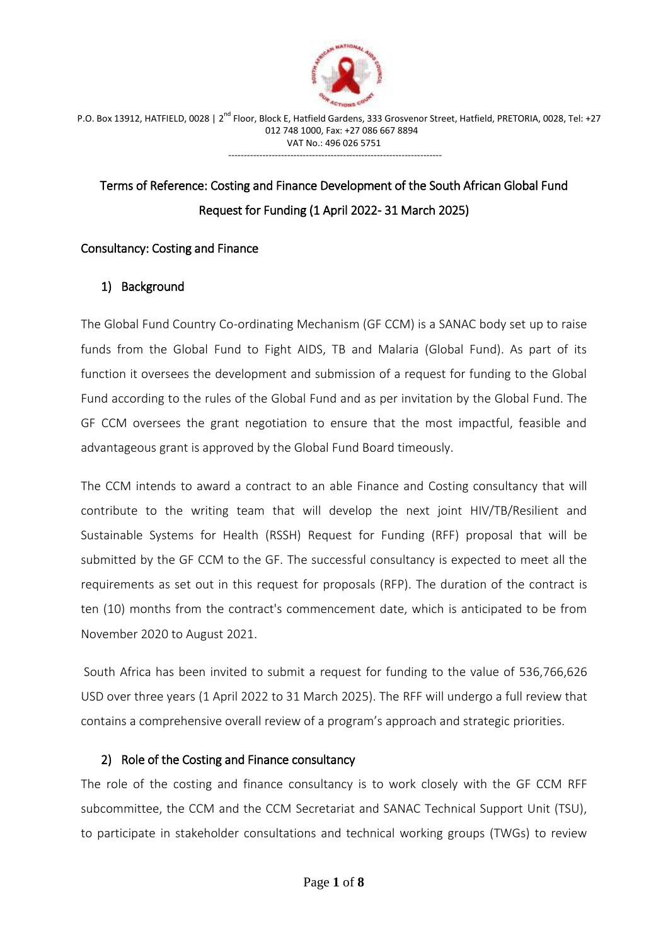

# Terms of Reference: Costing and Finance Development of the South African Global Fund Request for Funding (1 April 2022- 31 March 2025)

# Consultancy: Costing and Finance

# 1) Background

The Global Fund Country Co-ordinating Mechanism (GF CCM) is a SANAC body set up to raise funds from the Global Fund to Fight AIDS, TB and Malaria (Global Fund). As part of its function it oversees the development and submission of a request for funding to the Global Fund according to the rules of the Global Fund and as per invitation by the Global Fund. The GF CCM oversees the grant negotiation to ensure that the most impactful, feasible and advantageous grant is approved by the Global Fund Board timeously.

The CCM intends to award a contract to an able Finance and Costing consultancy that will contribute to the writing team that will develop the next joint HIV/TB/Resilient and Sustainable Systems for Health (RSSH) Request for Funding (RFF) proposal that will be submitted by the GF CCM to the GF. The successful consultancy is expected to meet all the requirements as set out in this request for proposals (RFP). The duration of the contract is ten (10) months from the contract's commencement date, which is anticipated to be from November 2020 to August 2021.

South Africa has been invited to submit a request for funding to the value of 536,766,626 USD over three years (1 April 2022 to 31 March 2025). The RFF will undergo a full review that contains a comprehensive overall review of a program's approach and strategic priorities.

#### 2) Role of the Costing and Finance consultancy

The role of the costing and finance consultancy is to work closely with the GF CCM RFF subcommittee, the CCM and the CCM Secretariat and SANAC Technical Support Unit (TSU), to participate in stakeholder consultations and technical working groups (TWGs) to review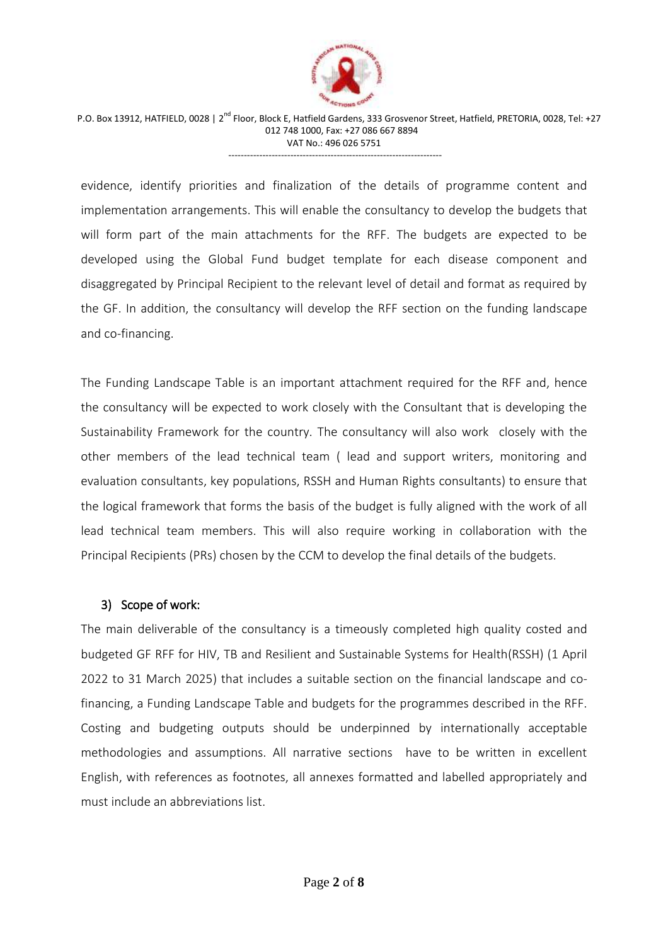

 P.O. Box 13912, HATFIELD, 0028 | 2nd Floor, Block E, Hatfield Gardens, 333 Grosvenor Street, Hatfield, PRETORIA, 0028, Tel: +27 012 748 1000, Fax: +27 086 667 8894 VAT No.: 496 026 5751

---------------------------------------------------------------------

evidence, identify priorities and finalization of the details of programme content and implementation arrangements. This will enable the consultancy to develop the budgets that will form part of the main attachments for the RFF. The budgets are expected to be developed using the Global Fund budget template for each disease component and disaggregated by Principal Recipient to the relevant level of detail and format as required by the GF. In addition, the consultancy will develop the RFF section on the funding landscape and co-financing.

The Funding Landscape Table is an important attachment required for the RFF and, hence the consultancy will be expected to work closely with the Consultant that is developing the Sustainability Framework for the country. The consultancy will also work closely with the other members of the lead technical team ( lead and support writers, monitoring and evaluation consultants, key populations, RSSH and Human Rights consultants) to ensure that the logical framework that forms the basis of the budget is fully aligned with the work of all lead technical team members. This will also require working in collaboration with the Principal Recipients (PRs) chosen by the CCM to develop the final details of the budgets.

#### 3) Scope of work:

The main deliverable of the consultancy is a timeously completed high quality costed and budgeted GF RFF for HIV, TB and Resilient and Sustainable Systems for Health(RSSH) (1 April 2022 to 31 March 2025) that includes a suitable section on the financial landscape and cofinancing, a Funding Landscape Table and budgets for the programmes described in the RFF. Costing and budgeting outputs should be underpinned by internationally acceptable methodologies and assumptions. All narrative sections have to be written in excellent English, with references as footnotes, all annexes formatted and labelled appropriately and must include an abbreviations list.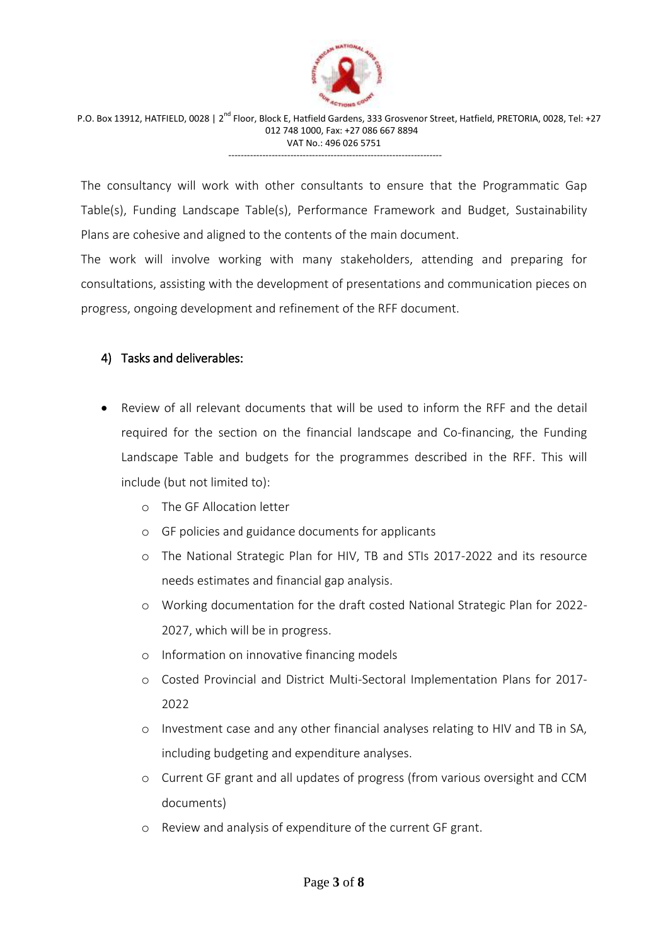

The consultancy will work with other consultants to ensure that the Programmatic Gap Table(s), Funding Landscape Table(s), Performance Framework and Budget, Sustainability Plans are cohesive and aligned to the contents of the main document.

The work will involve working with many stakeholders, attending and preparing for consultations, assisting with the development of presentations and communication pieces on progress, ongoing development and refinement of the RFF document.

# 4) Tasks and deliverables:

- Review of all relevant documents that will be used to inform the RFF and the detail required for the section on the financial landscape and Co-financing, the Funding Landscape Table and budgets for the programmes described in the RFF. This will include (but not limited to):
	- o The GF Allocation letter
	- o GF policies and guidance documents for applicants
	- o The National Strategic Plan for HIV, TB and STIs 2017-2022 and its resource needs estimates and financial gap analysis.
	- o Working documentation for the draft costed National Strategic Plan for 2022- 2027, which will be in progress.
	- o Information on innovative financing models
	- o Costed Provincial and District Multi-Sectoral Implementation Plans for 2017- 2022
	- o Investment case and any other financial analyses relating to HIV and TB in SA, including budgeting and expenditure analyses.
	- o Current GF grant and all updates of progress (from various oversight and CCM documents)
	- o Review and analysis of expenditure of the current GF grant.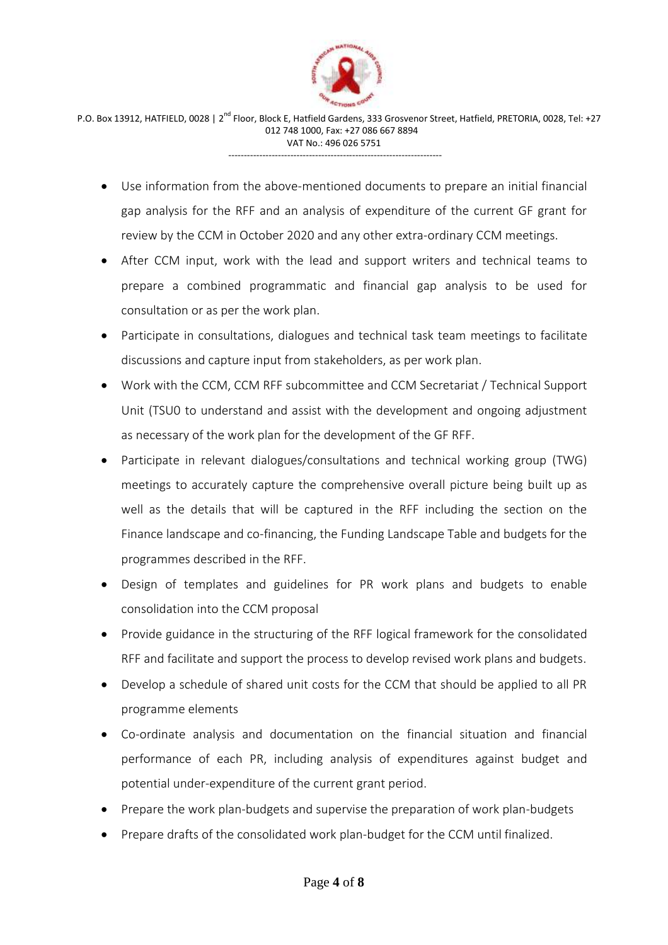

- Use information from the above-mentioned documents to prepare an initial financial gap analysis for the RFF and an analysis of expenditure of the current GF grant for review by the CCM in October 2020 and any other extra-ordinary CCM meetings.
- After CCM input, work with the lead and support writers and technical teams to prepare a combined programmatic and financial gap analysis to be used for consultation or as per the work plan.
- Participate in consultations, dialogues and technical task team meetings to facilitate discussions and capture input from stakeholders, as per work plan.
- Work with the CCM, CCM RFF subcommittee and CCM Secretariat / Technical Support Unit (TSU0 to understand and assist with the development and ongoing adjustment as necessary of the work plan for the development of the GF RFF.
- Participate in relevant dialogues/consultations and technical working group (TWG) meetings to accurately capture the comprehensive overall picture being built up as well as the details that will be captured in the RFF including the section on the Finance landscape and co-financing, the Funding Landscape Table and budgets for the programmes described in the RFF.
- Design of templates and guidelines for PR work plans and budgets to enable consolidation into the CCM proposal
- Provide guidance in the structuring of the RFF logical framework for the consolidated RFF and facilitate and support the process to develop revised work plans and budgets.
- Develop a schedule of shared unit costs for the CCM that should be applied to all PR programme elements
- Co-ordinate analysis and documentation on the financial situation and financial performance of each PR, including analysis of expenditures against budget and potential under-expenditure of the current grant period.
- Prepare the work plan-budgets and supervise the preparation of work plan-budgets
- Prepare drafts of the consolidated work plan-budget for the CCM until finalized.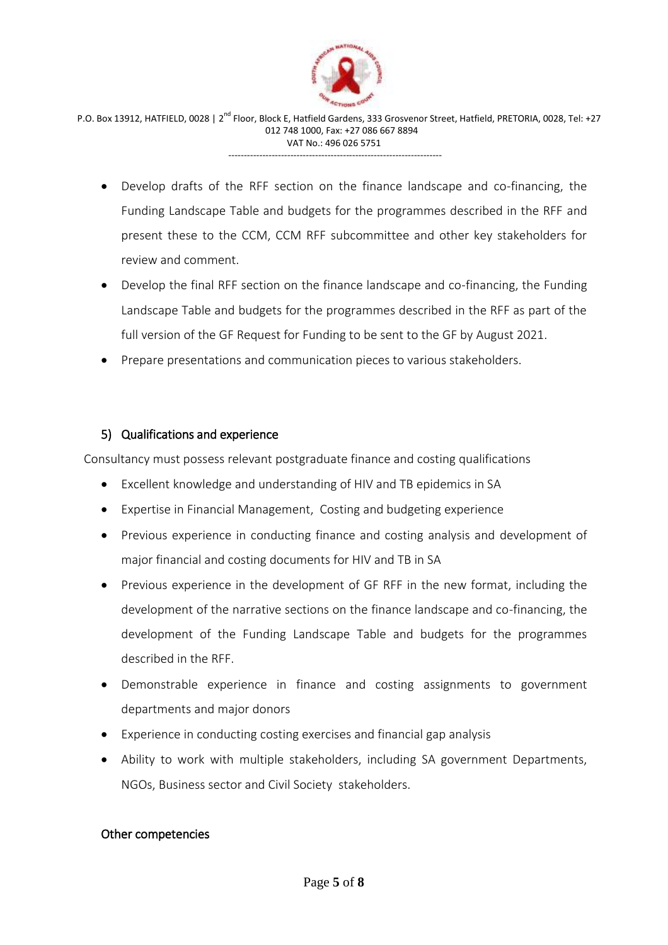

- Develop drafts of the RFF section on the finance landscape and co-financing, the Funding Landscape Table and budgets for the programmes described in the RFF and present these to the CCM, CCM RFF subcommittee and other key stakeholders for review and comment.
- Develop the final RFF section on the finance landscape and co-financing, the Funding Landscape Table and budgets for the programmes described in the RFF as part of the full version of the GF Request for Funding to be sent to the GF by August 2021.
- Prepare presentations and communication pieces to various stakeholders.

#### 5) Qualifications and experience

Consultancy must possess relevant postgraduate finance and costing qualifications

- Excellent knowledge and understanding of HIV and TB epidemics in SA
- Expertise in Financial Management, Costing and budgeting experience
- Previous experience in conducting finance and costing analysis and development of major financial and costing documents for HIV and TB in SA
- Previous experience in the development of GF RFF in the new format, including the development of the narrative sections on the finance landscape and co-financing, the development of the Funding Landscape Table and budgets for the programmes described in the RFF.
- Demonstrable experience in finance and costing assignments to government departments and major donors
- Experience in conducting costing exercises and financial gap analysis
- Ability to work with multiple stakeholders, including SA government Departments, NGOs, Business sector and Civil Society stakeholders.

#### Other competencies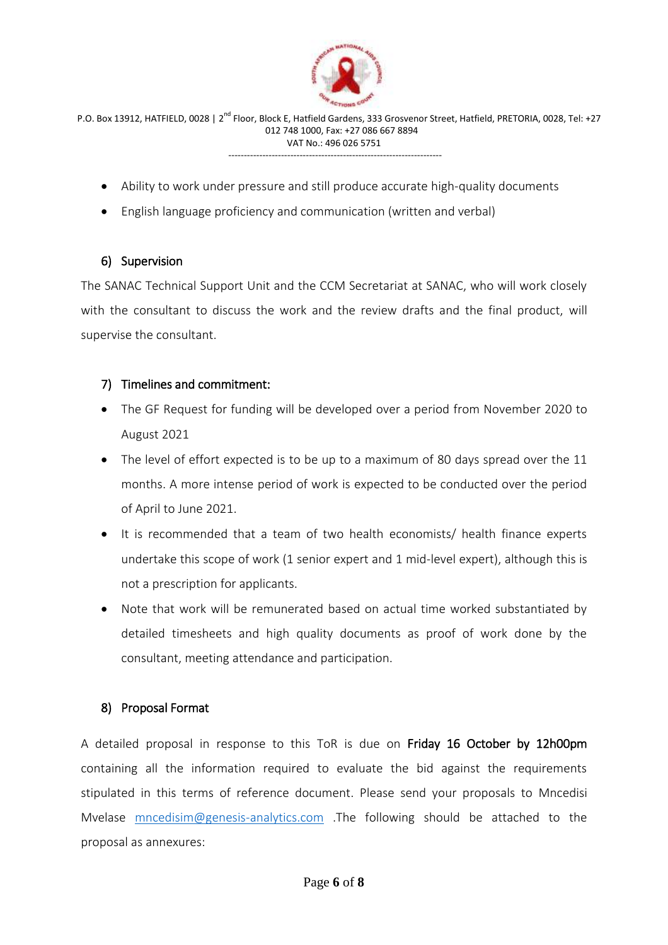

- Ability to work under pressure and still produce accurate high-quality documents
- English language proficiency and communication (written and verbal)

#### 6) Supervision

The SANAC Technical Support Unit and the CCM Secretariat at SANAC, who will work closely with the consultant to discuss the work and the review drafts and the final product, will supervise the consultant.

#### 7) Timelines and commitment:

- The GF Request for funding will be developed over a period from November 2020 to August 2021
- The level of effort expected is to be up to a maximum of 80 days spread over the 11 months. A more intense period of work is expected to be conducted over the period of April to June 2021.
- It is recommended that a team of two health economists/ health finance experts undertake this scope of work (1 senior expert and 1 mid-level expert), although this is not a prescription for applicants.
- Note that work will be remunerated based on actual time worked substantiated by detailed timesheets and high quality documents as proof of work done by the consultant, meeting attendance and participation.

#### 8) Proposal Format

A detailed proposal in response to this ToR is due on Friday 16 October by 12h00pm containing all the information required to evaluate the bid against the requirements stipulated in this terms of reference document. Please send your proposals to Mncedisi Mvelase [mncedisim@genesis-analytics.com](mailto:mncedisim@genesis-analytics.com) .The following should be attached to the proposal as annexures: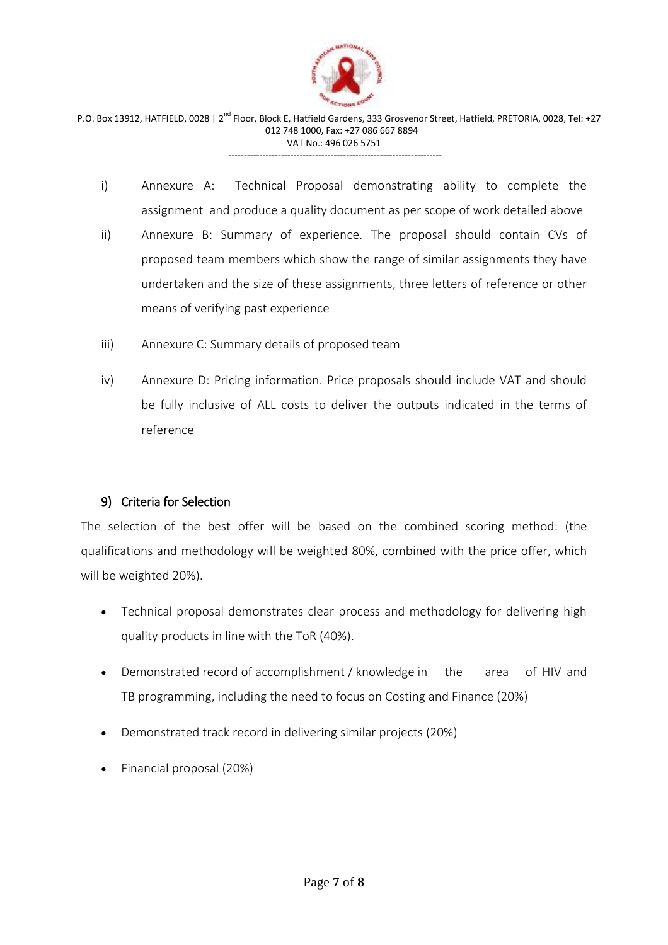

- i) Annexure A: Technical Proposal demonstrating ability to complete the assignment and produce a quality document as per scope of work detailed above
- ii) Annexure B: Summary of experience. The proposal should contain CVs of proposed team members which show the range of similar assignments they have undertaken and the size of these assignments, three letters of reference or other means of verifying past experience
- iii) Annexure C: Summary details of proposed team
- iv) Annexure D: Pricing information. Price proposals should include VAT and should be fully inclusive of ALL costs to deliver the outputs indicated in the terms of reference

# 9) Criteria for Selection

The selection of the best offer will be based on the combined scoring method: (the qualifications and methodology will be weighted 80%, combined with the price offer, which will be weighted 20%).

- Technical proposal demonstrates clear process and methodology for delivering high quality products in line with the ToR (40%).
- Demonstrated record of accomplishment / knowledge in the area of HIV and TB programming, including the need to focus on Costing and Finance (20%)
- Demonstrated track record in delivering similar projects (20%)
- Financial proposal (20%)